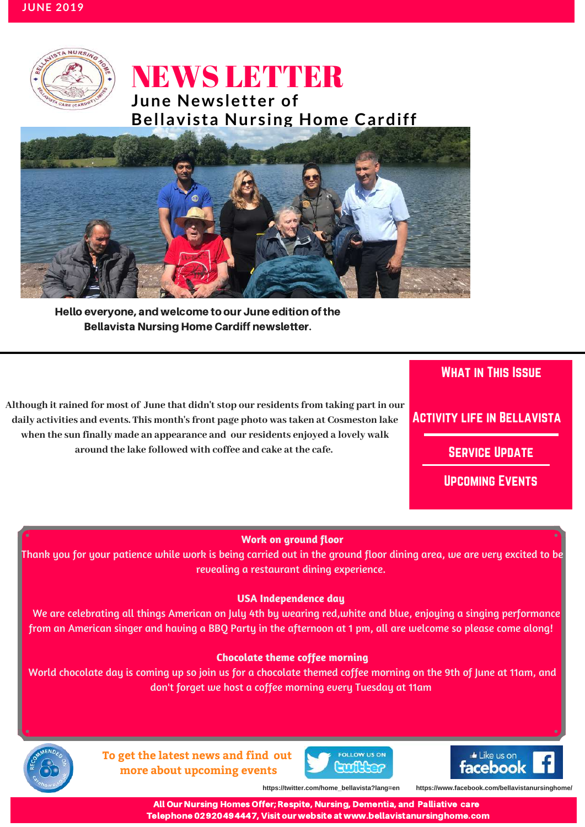

# NEWS LETTER **June Newsletter of**



Hello everyone, and welcome to our June edition of the Bellavista Nursing Home Cardiff newsletter.

**Although it rained for most of June that didn't stop our residents from taking part in our daily activities and events. This month's front page photo was taken at Cosmeston lake when the sun finally made an appearance and our residents enjoyed a lovely walk around the lake followed with coffee and cake at the cafe.**

## What in This Issue

## Activity life in Bellavista

Service Update

Upcoming Events

Serv

### **Work on ground floor**

**IN THIS ISSUE** Thank you for your patience while work is being carried out in the ground floor dining area, we are very excited to be revealing a restaurant dining experience.

#### **USA Independence day**

We are celebrating all things American on July 4th by wearing red, white and blue, enjoying a singing performance from an American singer and having a BBQ Party in the afternoon at 1 pm, all are welcome so please come along!

#### **Chocolate theme coffee morning**

don't forget we host a coffee morning every Tuesday at 11am and the state World chocolate day is coming up so join us for a chocolate themed coffee morning on the 9th of June at 11am, and



**To get the latest news and find out more about upcoming events**

ervice Update





**https://twitter.com/home\_bellavista?lang=en https://www.facebook.com/bellavistanursinghome/**

All Our Care Homes Offer; Respite, Nursing, Dementia, Palliative and Residential Care All Our Nursing Homes Offer; Respite, Nursing, Dementia, and Palliative care Telephone 02920494447, Visit our website at www.bellavistanursinghome.com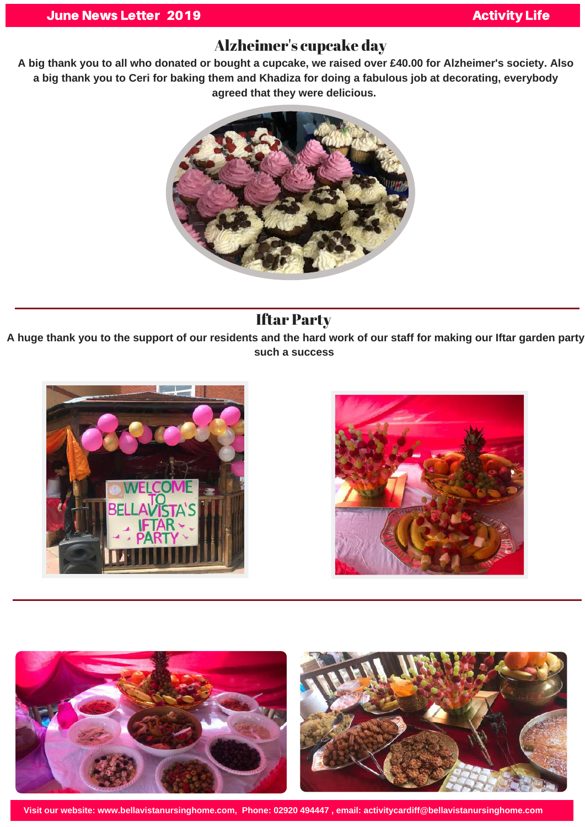## Alzheimer's cupcake day

A big thank you to all who donated or bought a cupcake, we raised over £40.00 for Alzheimer's society. Also a big thank you to Ceri for baking them and Khadiza for doing a fabulous job at decorating, everybody **agreed that they were delicious.**



# Iftar Party

A huge thank you to the support of our residents and the hard work of our staff for making our Iftar garden party **such a success**







**Visit our website: www.bellavistanursinghome.com, Phone: 02920 494447 , email: activitycardiff@bellavistanursinghome.com**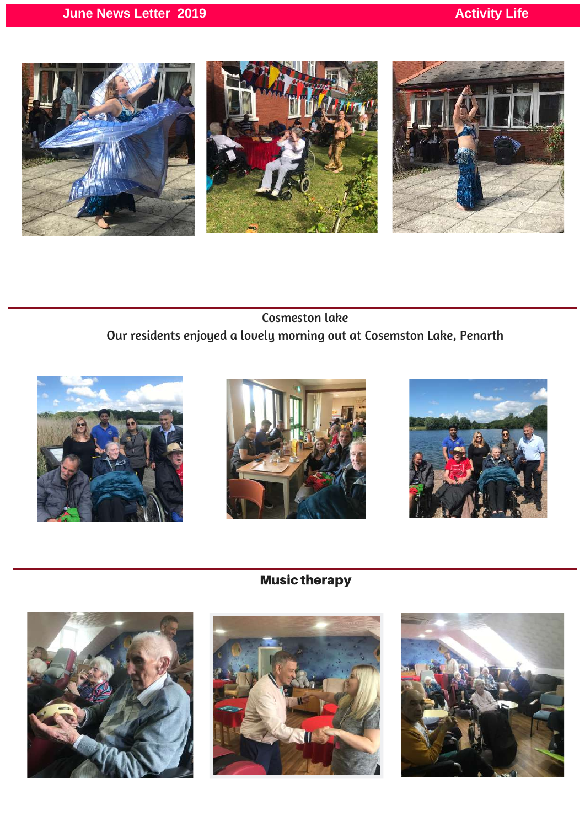

Cosmeston lake Our residents enjoyed a lovely morning out at Cosemston Lake, Penarth







Music therapy





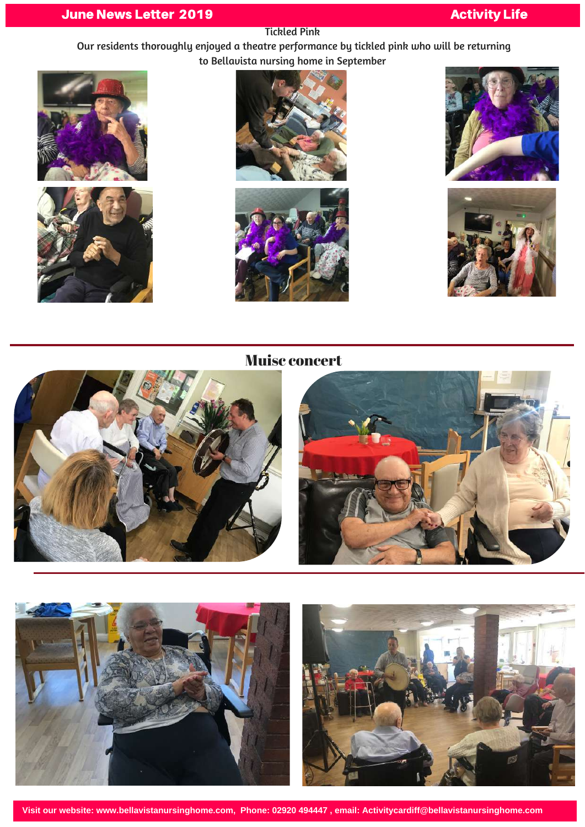## **June News Letter 2019 Activity Life Activity Life**

#### Tickled Pink

Our residents thoroughly enjoyed a theatre performance by tickled pink who will be returning to Bellavista nursing home in September













## Muisc concert



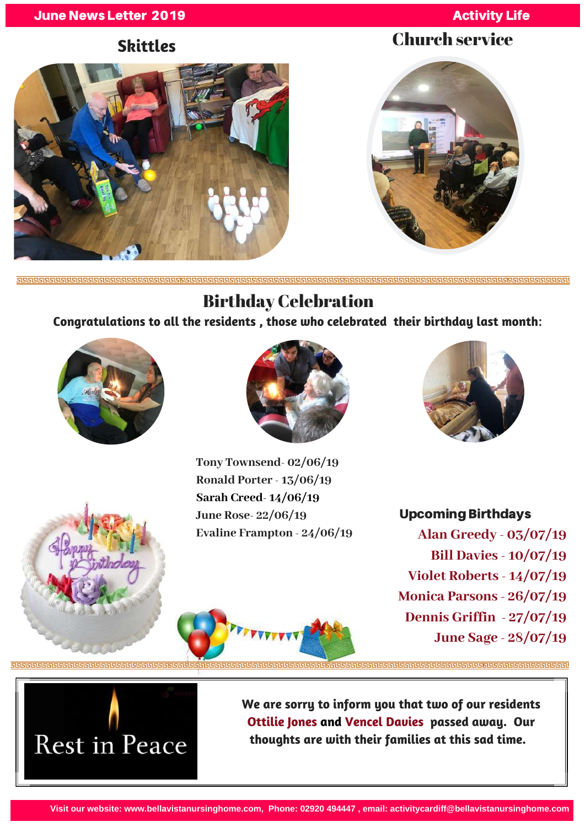### **June News Letter 2019** Activity Life

# **Skittles** Church service



# Birthday Celebration

**Congratulations to all the residents , those who celebrated their birthday last month**:





**Tony Townsend- 02/06/19 Ronald Porter - 13/06/19 Sarah Creed- 14/06/19 June Rose- 22/06/19 Evaline Frampton - 24/06/19**



## Upcoming Birthdays

**Alan Greedy - 03/07/19 Bill Davies - 10/07/19 Violet Roberts - 14/07/19 Monica Parsons - 26/07/19 Dennis Griffin - 27/07/19 June Sage - 28/07/19**



**We are sorry to inform you that two of our residents Ottilie Jones and Vencel Davies passed away. Our thoughts are with their families at this sad time.**